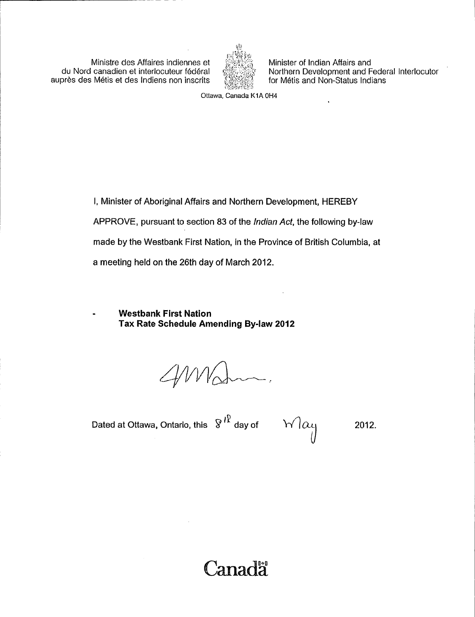Ministre des Affaires indiennes et du Nord canadien et interiocuteur federal auprès des Métis et des Indiens non inscrits



Minister of Indian Affairs and Northern Development and Federal Interlocutor for Métis and Non-Status Indians

Ottawa, Canada K1A OH4

I, Minister of Aboriginal Affairs and Northern Development, HEREBY APPROVE, pursuant to section 83 of the Indian Act, the following by-law made by the Westbank First Nation, in the Province of British Columbia, at a meeting held on the 26th day of March 2012.

Westbank First Nation Tax Rate Schedule Amending By -law 2012

 $40M$ cham.

Dated at Ottawa, Ontario, this  $8^{18}$  day of  $\sqrt{|\alpha_1|}$  2012.

Canada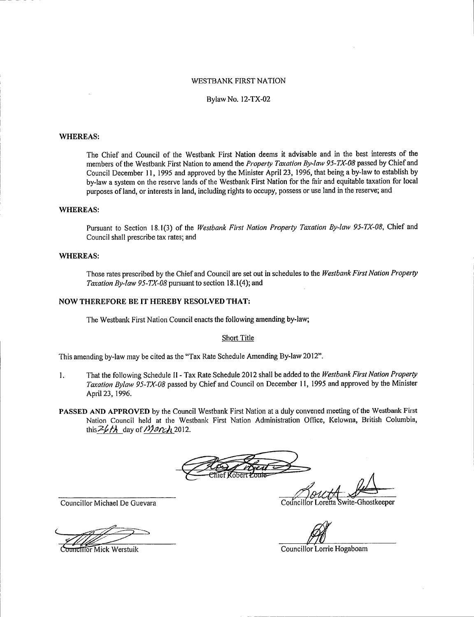## WESTBANK FIRST NATION

### Bylaw No. 12 -TX -02

### WHEREAS:

The Chief and Council of the Westbank First Nation deems it advisable and in the best interests of the members of the Westbank First Nation to amend the Property Taxation By-law 95-TX-08 passed by Chief and Council December 11, 1995 and approved by the Minister April 23, 1996, that being a by -law to establish by by -law <sup>a</sup> system on the reserve lands of the Westbank First Nation for the fair and equitable taxation for local purposes of land, or interests in land, including rights to occupy, possess or use land in the reserve; and

### WHEREAS:

Pursuant to Section 18.1(3) of the Westbank First Nation Property Taxation By-law 95-TX-08, Chief and Council shall prescribe tax rates; and

### WHEREAS:

Those rates prescribed by the Chief and Council are set out in schedules to the Westbank First Nation Property Taxation By-law 95-TX-08 pursuant to section 18.1(4); and

# NOW THEREFORE BE IT HEREBY RESOLVED THAT:

The Westbank First Nation Council enacts the following amending by -law;

#### Short Title

This amending by-law may be cited as the "Tax Rate Schedule Amending By-law 2012".

- 1. That the following Schedule II Tax Rate Schedule 2012 shall be added to the Westbank First Nation Property Taxation Bylaw 95-TX-08 passed by Chief and Council on December 11, 1995 and approved by the Minister April 23, 1996.
- PASSED AND APPROVED by the Council Westbank First Nation at a duly convened meeting of the Westbank First Nation Council held at the Westbank First Nation Administration Office, Kelowna, British Columbia, this  $26th$  day of March 2012.

Councillor Michael De Guevara Council or Council or Council or Loretta Swite-Ghostkeeper

**Councillor Mick Werstuik Councillor Councillor Lorrie Hogaboam**